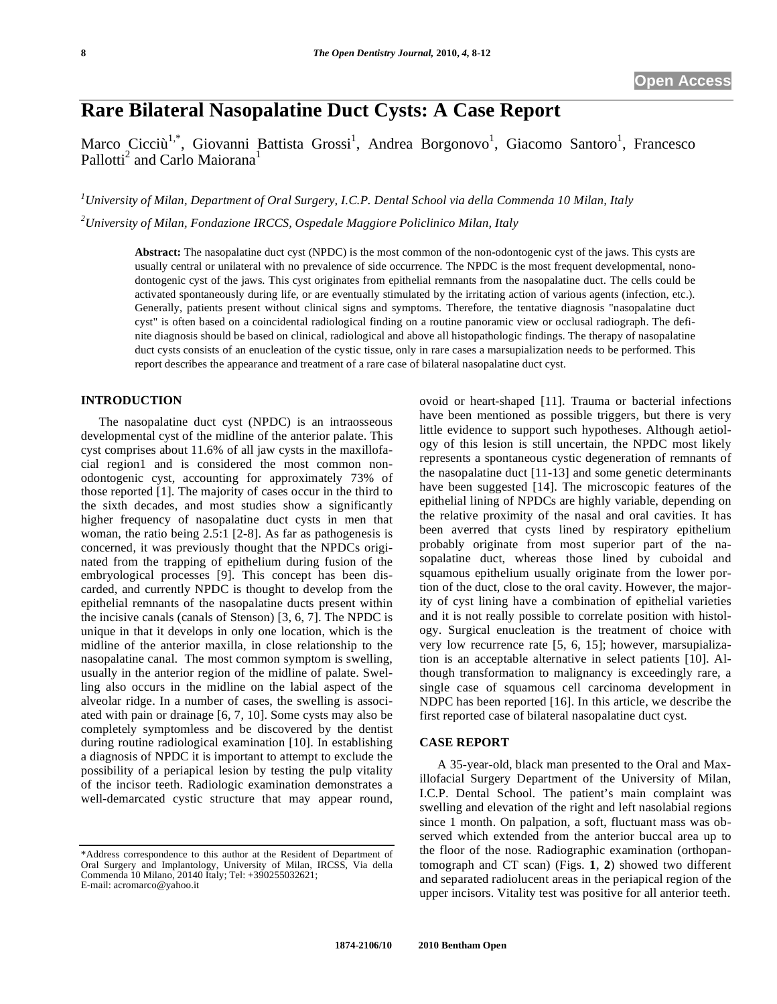# **Rare Bilateral Nasopalatine Duct Cysts: A Case Report**

Marco Cicciù<sup>1,\*</sup>, Giovanni Battista Grossi<sup>1</sup>, Andrea Borgonovo<sup>1</sup>, Giacomo Santoro<sup>1</sup>, Francesco Pallotti<sup>2</sup> and Carlo Maiorana<sup>1</sup>

*1 University of Milan, Department of Oral Surgery, I.C.P. Dental School via della Commenda 10 Milan, Italy 2 University of Milan, Fondazione IRCCS, Ospedale Maggiore Policlinico Milan, Italy* 

**Abstract:** The nasopalatine duct cyst (NPDC) is the most common of the non-odontogenic cyst of the jaws. This cysts are usually central or unilateral with no prevalence of side occurrence. The NPDC is the most frequent developmental, nonodontogenic cyst of the jaws. This cyst originates from epithelial remnants from the nasopalatine duct. The cells could be activated spontaneously during life, or are eventually stimulated by the irritating action of various agents (infection, etc.). Generally, patients present without clinical signs and symptoms. Therefore, the tentative diagnosis "nasopalatine duct cyst" is often based on a coincidental radiological finding on a routine panoramic view or occlusal radiograph. The definite diagnosis should be based on clinical, radiological and above all histopathologic findings. The therapy of nasopalatine duct cysts consists of an enucleation of the cystic tissue, only in rare cases a marsupialization needs to be performed. This report describes the appearance and treatment of a rare case of bilateral nasopalatine duct cyst.

## **INTRODUCTION**

The nasopalatine duct cyst (NPDC) is an intraosseous developmental cyst of the midline of the anterior palate. This cyst comprises about 11.6% of all jaw cysts in the maxillofacial region1 and is considered the most common nonodontogenic cyst, accounting for approximately 73% of those reported [1]. The majority of cases occur in the third to the sixth decades, and most studies show a significantly higher frequency of nasopalatine duct cysts in men that woman, the ratio being 2.5:1 [2-8]. As far as pathogenesis is concerned, it was previously thought that the NPDCs originated from the trapping of epithelium during fusion of the embryological processes [9]. This concept has been discarded, and currently NPDC is thought to develop from the epithelial remnants of the nasopalatine ducts present within the incisive canals (canals of Stenson) [3, 6, 7]. The NPDC is unique in that it develops in only one location, which is the midline of the anterior maxilla, in close relationship to the nasopalatine canal. The most common symptom is swelling, usually in the anterior region of the midline of palate. Swelling also occurs in the midline on the labial aspect of the alveolar ridge. In a number of cases, the swelling is associated with pain or drainage [6, 7, 10]. Some cysts may also be completely symptomless and be discovered by the dentist during routine radiological examination [10]. In establishing a diagnosis of NPDC it is important to attempt to exclude the possibility of a periapical lesion by testing the pulp vitality of the incisor teeth. Radiologic examination demonstrates a well-demarcated cystic structure that may appear round,

ovoid or heart-shaped [11]. Trauma or bacterial infections have been mentioned as possible triggers, but there is very little evidence to support such hypotheses. Although aetiology of this lesion is still uncertain, the NPDC most likely represents a spontaneous cystic degeneration of remnants of the nasopalatine duct [11-13] and some genetic determinants have been suggested [14]. The microscopic features of the epithelial lining of NPDCs are highly variable, depending on the relative proximity of the nasal and oral cavities. It has been averred that cysts lined by respiratory epithelium probably originate from most superior part of the nasopalatine duct, whereas those lined by cuboidal and squamous epithelium usually originate from the lower portion of the duct, close to the oral cavity. However, the majority of cyst lining have a combination of epithelial varieties and it is not really possible to correlate position with histology. Surgical enucleation is the treatment of choice with very low recurrence rate [5, 6, 15]; however, marsupialization is an acceptable alternative in select patients [10]. Although transformation to malignancy is exceedingly rare, a single case of squamous cell carcinoma development in NDPC has been reported [16]. In this article, we describe the first reported case of bilateral nasopalatine duct cyst.

#### **CASE REPORT**

A 35-year-old, black man presented to the Oral and Maxillofacial Surgery Department of the University of Milan, I.C.P. Dental School. The patient's main complaint was swelling and elevation of the right and left nasolabial regions since 1 month. On palpation, a soft, fluctuant mass was observed which extended from the anterior buccal area up to the floor of the nose. Radiographic examination (orthopantomograph and CT scan) (Figs. **1**, **2**) showed two different and separated radiolucent areas in the periapical region of the upper incisors. Vitality test was positive for all anterior teeth.

<sup>\*</sup>Address correspondence to this author at the Resident of Department of Oral Surgery and Implantology, University of Milan, IRCSS, Via della Commenda 10 Milano, 20140 Italy; Tel: +390255032621; E-mail: acromarco@yahoo.it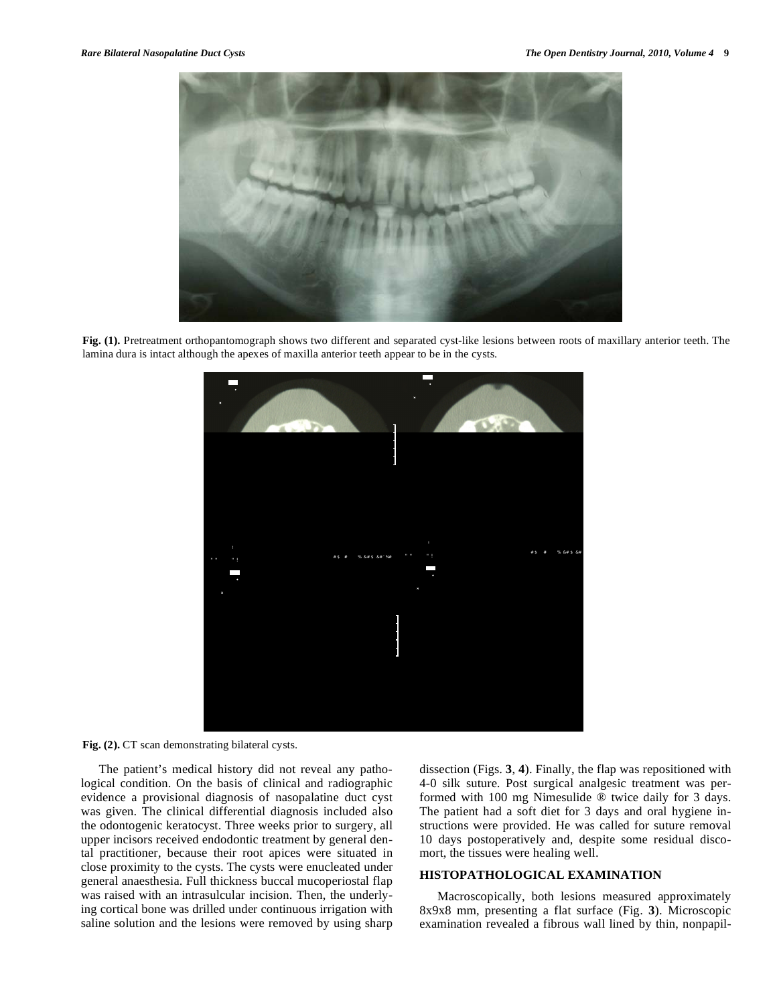

**Fig. (1).** Pretreatment orthopantomograph shows two different and separated cyst-like lesions between roots of maxillary anterior teeth. The lamina dura is intact although the apexes of maxilla anterior teeth appear to be in the cysts.

**Fig. (2).** CT scan demonstrating bilateral cysts.

The patient's medical history did not reveal any pathological condition. On the basis of clinical and radiographic evidence a provisional diagnosis of nasopalatine duct cyst was given. The clinical differential diagnosis included also the odontogenic keratocyst. Three weeks prior to surgery, all upper incisors received endodontic treatment by general dental practitioner, because their root apices were situated in close proximity to the cysts. The cysts were enucleated under general anaesthesia. Full thickness buccal mucoperiostal flap was raised with an intrasulcular incision. Then, the underlying cortical bone was drilled under continuous irrigation with saline solution and the lesions were removed by using sharp dissection (Figs. **3**, **4**). Finally, the flap was repositioned with 4-0 silk suture. Post surgical analgesic treatment was performed with 100 mg Nimesulide ® twice daily for 3 days. The patient had a soft diet for 3 days and oral hygiene instructions were provided. He was called for suture removal 10 days postoperatively and, despite some residual discomort, the tissues were healing well.

## **HISTOPATHOLOGICAL EXAMINATION**

Macroscopically, both lesions measured approximately 8x9x8 mm, presenting a flat surface (Fig. **3**). Microscopic examination revealed a fibrous wall lined by thin, nonpapil-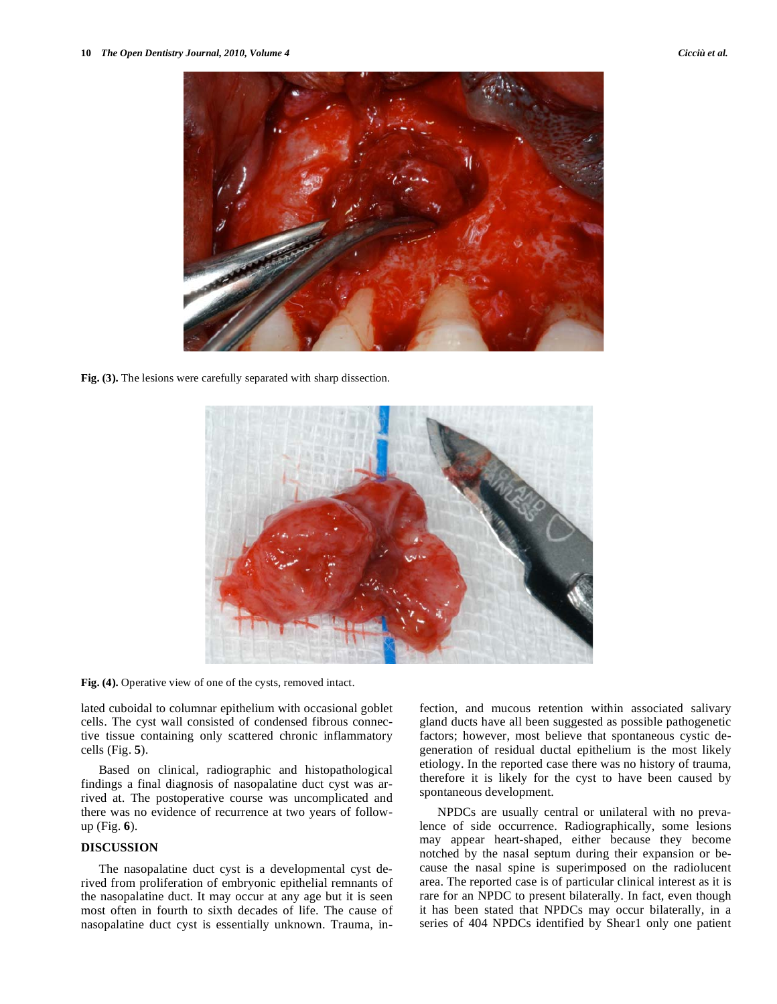

**Fig. (3).** The lesions were carefully separated with sharp dissection.



**Fig. (4).** Operative view of one of the cysts, removed intact.

lated cuboidal to columnar epithelium with occasional goblet cells. The cyst wall consisted of condensed fibrous connective tissue containing only scattered chronic inflammatory cells (Fig. **5**).

Based on clinical, radiographic and histopathological findings a final diagnosis of nasopalatine duct cyst was arrived at. The postoperative course was uncomplicated and there was no evidence of recurrence at two years of followup (Fig. **6**).

### **DISCUSSION**

The nasopalatine duct cyst is a developmental cyst derived from proliferation of embryonic epithelial remnants of the nasopalatine duct. It may occur at any age but it is seen most often in fourth to sixth decades of life. The cause of nasopalatine duct cyst is essentially unknown. Trauma, infection, and mucous retention within associated salivary gland ducts have all been suggested as possible pathogenetic factors; however, most believe that spontaneous cystic degeneration of residual ductal epithelium is the most likely etiology. In the reported case there was no history of trauma, therefore it is likely for the cyst to have been caused by spontaneous development.

NPDCs are usually central or unilateral with no prevalence of side occurrence. Radiographically, some lesions may appear heart-shaped, either because they become notched by the nasal septum during their expansion or because the nasal spine is superimposed on the radiolucent area. The reported case is of particular clinical interest as it is rare for an NPDC to present bilaterally. In fact, even though it has been stated that NPDCs may occur bilaterally, in a series of 404 NPDCs identified by Shear1 only one patient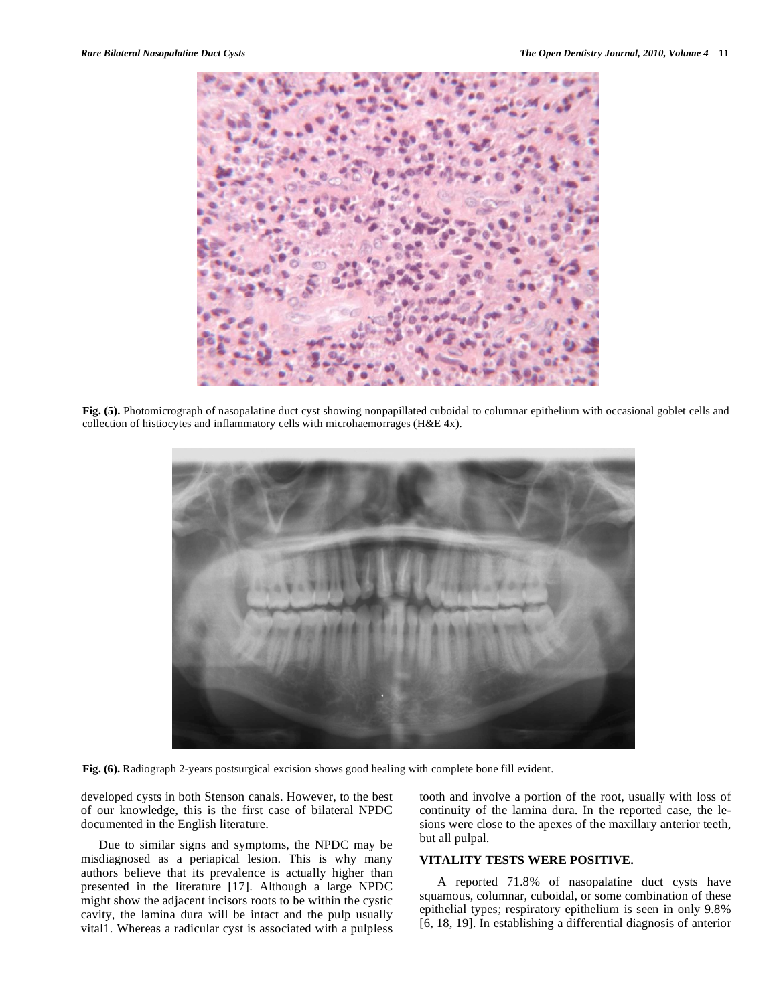

**Fig. (5).** Photomicrograph of nasopalatine duct cyst showing nonpapillated cuboidal to columnar epithelium with occasional goblet cells and collection of histiocytes and inflammatory cells with microhaemorrages (H&E 4x).



**Fig. (6).** Radiograph 2-years postsurgical excision shows good healing with complete bone fill evident.

developed cysts in both Stenson canals. However, to the best of our knowledge, this is the first case of bilateral NPDC documented in the English literature.

Due to similar signs and symptoms, the NPDC may be misdiagnosed as a periapical lesion. This is why many authors believe that its prevalence is actually higher than presented in the literature [17]. Although a large NPDC might show the adjacent incisors roots to be within the cystic cavity, the lamina dura will be intact and the pulp usually vital1. Whereas a radicular cyst is associated with a pulpless

tooth and involve a portion of the root, usually with loss of continuity of the lamina dura. In the reported case, the lesions were close to the apexes of the maxillary anterior teeth, but all pulpal.

### **VITALITY TESTS WERE POSITIVE.**

A reported 71.8% of nasopalatine duct cysts have squamous, columnar, cuboidal, or some combination of these epithelial types; respiratory epithelium is seen in only 9.8% [6, 18, 19]. In establishing a differential diagnosis of anterior